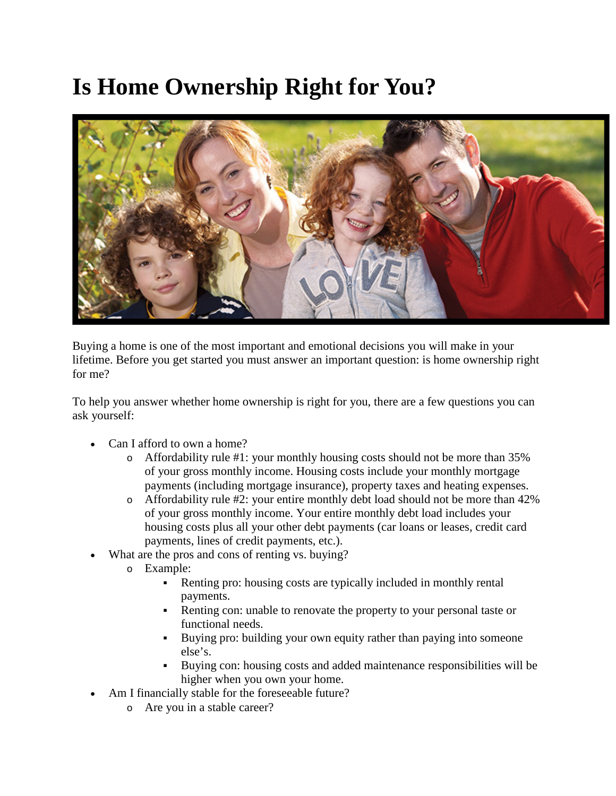## **Is Home Ownership Right for You?**



Buying a home is one of the most important and emotional decisions you will make in your lifetime. Before you get started you must answer an important question: is home ownership right for me?

To help you answer whether home ownership is right for you, there are a few questions you can ask yourself:

- Can I afford to own a home?
	- o Affordability rule #1: your monthly housing costs should not be more than 35% of your gross monthly income. Housing costs include your monthly mortgage payments (including mortgage insurance), property taxes and heating expenses.
	- o Affordability rule #2: your entire monthly debt load should not be more than 42% of your gross monthly income. Your entire monthly debt load includes your housing costs plus all your other debt payments (car loans or leases, credit card payments, lines of credit payments, etc.).
- What are the pros and cons of renting vs. buying?
	- o Example:
		- Renting pro: housing costs are typically included in monthly rental payments.
		- Renting con: unable to renovate the property to your personal taste or functional needs.
		- Buying pro: building your own equity rather than paying into some one else's.
		- Buying con: housing costs and added maintenance responsibilities will be higher when you own your home.
	- Am I financially stable for the foreseeable future?
		- o Are you in a stable career?